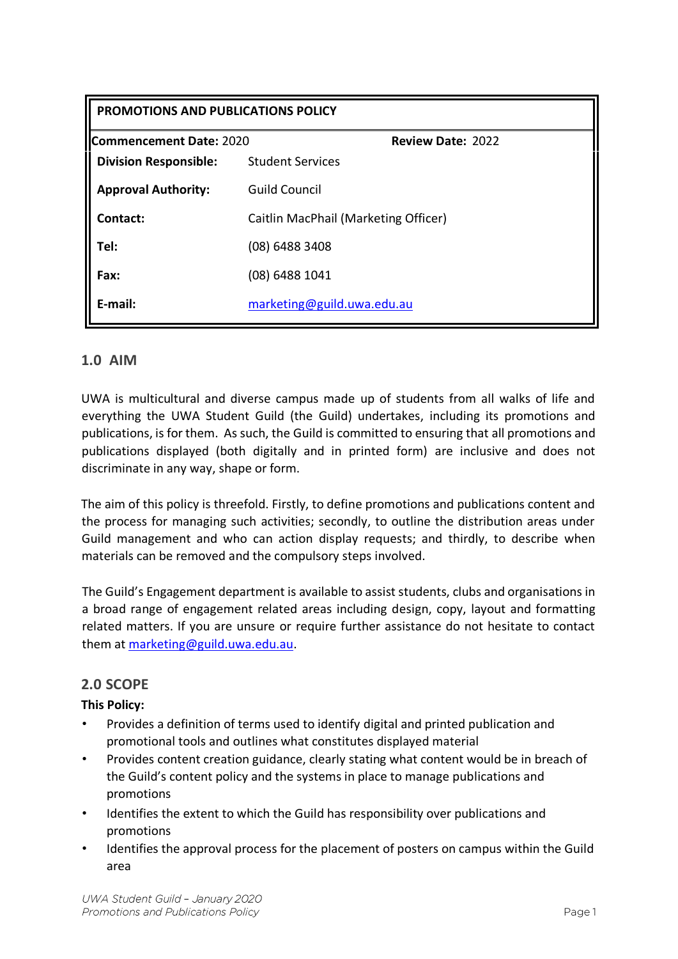| PROMOTIONS AND PUBLICATIONS POLICY |                                      |                          |
|------------------------------------|--------------------------------------|--------------------------|
| Commencement Date: 2020            |                                      | <b>Review Date: 2022</b> |
| <b>Division Responsible:</b>       | <b>Student Services</b>              |                          |
| <b>Approval Authority:</b>         | <b>Guild Council</b>                 |                          |
| Contact:                           | Caitlin MacPhail (Marketing Officer) |                          |
| Tel:                               | (08) 6488 3408                       |                          |
| Fax:                               | (08) 6488 1041                       |                          |
| E-mail:                            | marketing@guild.uwa.edu.au           |                          |

## **1.0 AIM**

UWA is multicultural and diverse campus made up of students from all walks of life and everything the UWA Student Guild (the Guild) undertakes, including its promotions and publications, is for them. As such, the Guild is committed to ensuring that all promotions and publications displayed (both digitally and in printed form) are inclusive and does not discriminate in any way, shape or form.

The aim of this policy is threefold. Firstly, to define promotions and publications content and the process for managing such activities; secondly, to outline the distribution areas under Guild management and who can action display requests; and thirdly, to describe when materials can be removed and the compulsory steps involved.

The Guild's Engagement department is available to assist students, clubs and organisations in a broad range of engagement related areas including design, copy, layout and formatting related matters. If you are unsure or require further assistance do not hesitate to contact them at marketing@guild.uwa.edu.au.

## **2.0 SCOPE**

#### **This Policy:**

- Provides a definition of terms used to identify digital and printed publication and promotional tools and outlines what constitutes displayed material
- Provides content creation guidance, clearly stating what content would be in breach of the Guild's content policy and the systems in place to manage publications and promotions
- Identifies the extent to which the Guild has responsibility over publications and promotions
- Identifies the approval process for the placement of posters on campus within the Guild area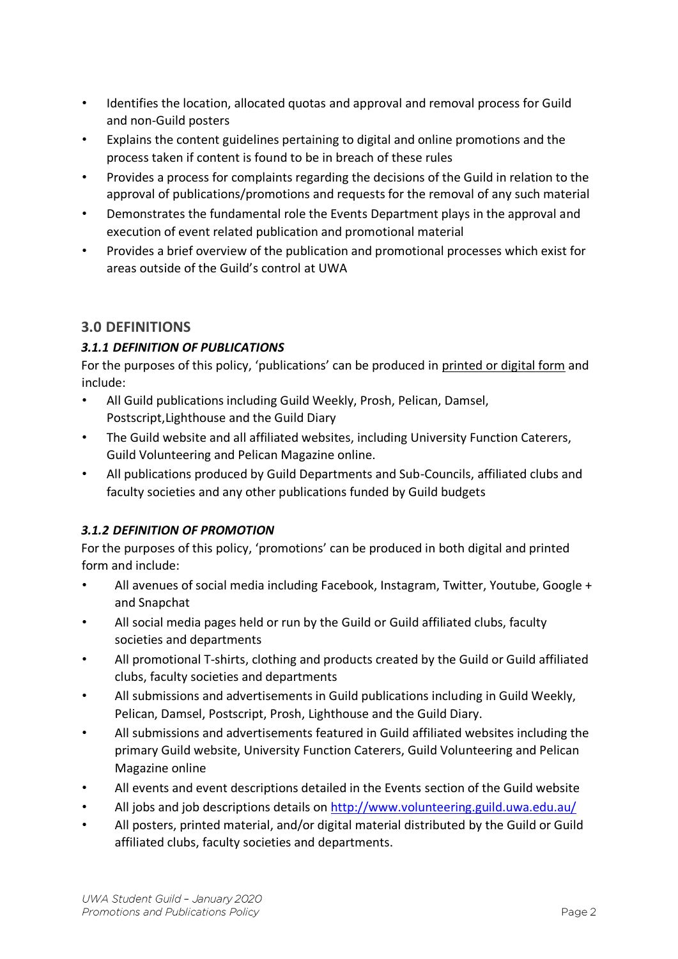- Identifies the location, allocated quotas and approval and removal process for Guild and non-Guild posters
- Explains the content guidelines pertaining to digital and online promotions and the process taken if content is found to be in breach of these rules
- Provides a process for complaints regarding the decisions of the Guild in relation to the approval of publications/promotions and requests for the removal of any such material
- Demonstrates the fundamental role the Events Department plays in the approval and execution of event related publication and promotional material
- Provides a brief overview of the publication and promotional processes which exist for areas outside of the Guild's control at UWA

## **3.0 DEFINITIONS**

## *3.1.1 DEFINITION OF PUBLICATIONS*

For the purposes of this policy, 'publications' can be produced in printed or digital form and include:

- All Guild publications including Guild Weekly, Prosh, Pelican, Damsel, Postscript,Lighthouse and the Guild Diary
- The Guild website and all affiliated websites, including University Function Caterers, Guild Volunteering and Pelican Magazine online.
- All publications produced by Guild Departments and Sub-Councils, affiliated clubs and faculty societies and any other publications funded by Guild budgets

## *3.1.2 DEFINITION OF PROMOTION*

For the purposes of this policy, 'promotions' can be produced in both digital and printed form and include:

- All avenues of social media including Facebook, Instagram, Twitter, Youtube, Google + and Snapchat
- All social media pages held or run by the Guild or Guild affiliated clubs, faculty societies and departments
- All promotional T-shirts, clothing and products created by the Guild or Guild affiliated clubs, faculty societies and departments
- All submissions and advertisements in Guild publications including in Guild Weekly, Pelican, Damsel, Postscript, Prosh, Lighthouse and the Guild Diary.
- All submissions and advertisements featured in Guild affiliated websites including the primary Guild website, University Function Caterers, Guild Volunteering and Pelican Magazine online
- All events and event descriptions detailed in the Events section of the Guild website
- All jobs and job descriptions details on<http://www.volunteering.guild.uwa.edu.au/>
- All posters, printed material, and/or digital material distributed by the Guild or Guild affiliated clubs, faculty societies and departments.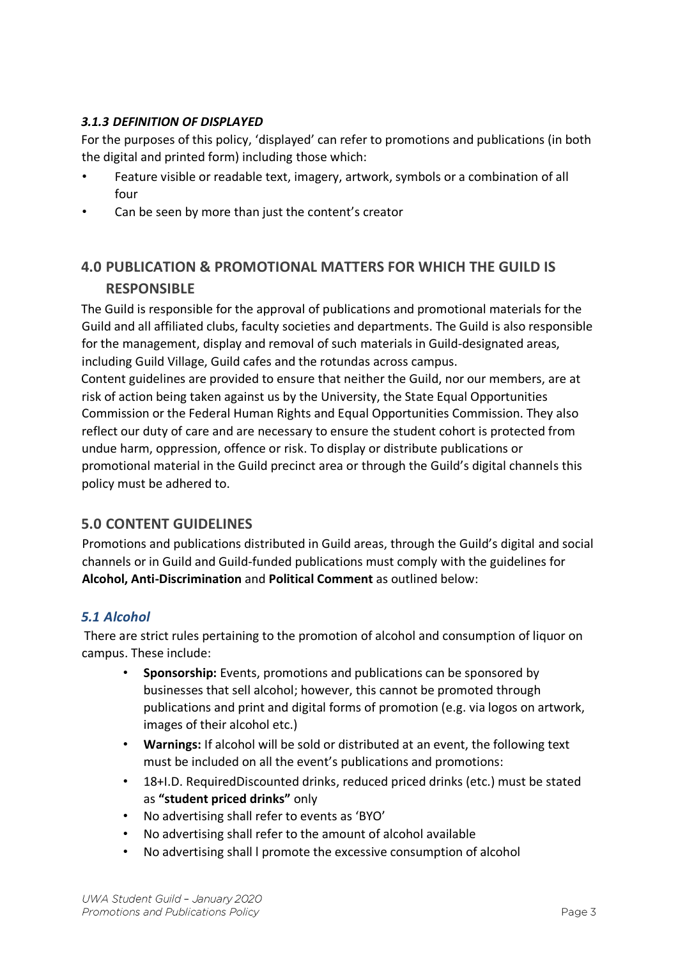### *3.1.3 DEFINITION OF DISPLAYED*

For the purposes of this policy, 'displayed' can refer to promotions and publications (in both the digital and printed form) including those which:

- Feature visible or readable text, imagery, artwork, symbols or a combination of all four
- Can be seen by more than just the content's creator

# **4.0 PUBLICATION & PROMOTIONAL MATTERS FOR WHICH THE GUILD IS RESPONSIBLE**

The Guild is responsible for the approval of publications and promotional materials for the Guild and all affiliated clubs, faculty societies and departments. The Guild is also responsible for the management, display and removal of such materials in Guild-designated areas, including Guild Village, Guild cafes and the rotundas across campus.

Content guidelines are provided to ensure that neither the Guild, nor our members, are at risk of action being taken against us by the University, the State Equal Opportunities Commission or the Federal Human Rights and Equal Opportunities Commission. They also reflect our duty of care and are necessary to ensure the student cohort is protected from undue harm, oppression, offence or risk. To display or distribute publications or promotional material in the Guild precinct area or through the Guild's digital channels this policy must be adhered to.

## **5.0 CONTENT GUIDELINES**

Promotions and publications distributed in Guild areas, through the Guild's digital and social channels or in Guild and Guild-funded publications must comply with the guidelines for **Alcohol, Anti-Discrimination** and **Political Comment** as outlined below:

## *5.1 Alcohol*

There are strict rules pertaining to the promotion of alcohol and consumption of liquor on campus. These include:

- **Sponsorship:** Events, promotions and publications can be sponsored by businesses that sell alcohol; however, this cannot be promoted through publications and print and digital forms of promotion (e.g. via logos on artwork, images of their alcohol etc.)
- **Warnings:** If alcohol will be sold or distributed at an event, the following text must be included on all the event's publications and promotions:
- 18+I.D. RequiredDiscounted drinks, reduced priced drinks (etc.) must be stated as **"student priced drinks"** only
- No advertising shall refer to events as 'BYO'
- No advertising shall refer to the amount of alcohol available
- No advertising shall l promote the excessive consumption of alcohol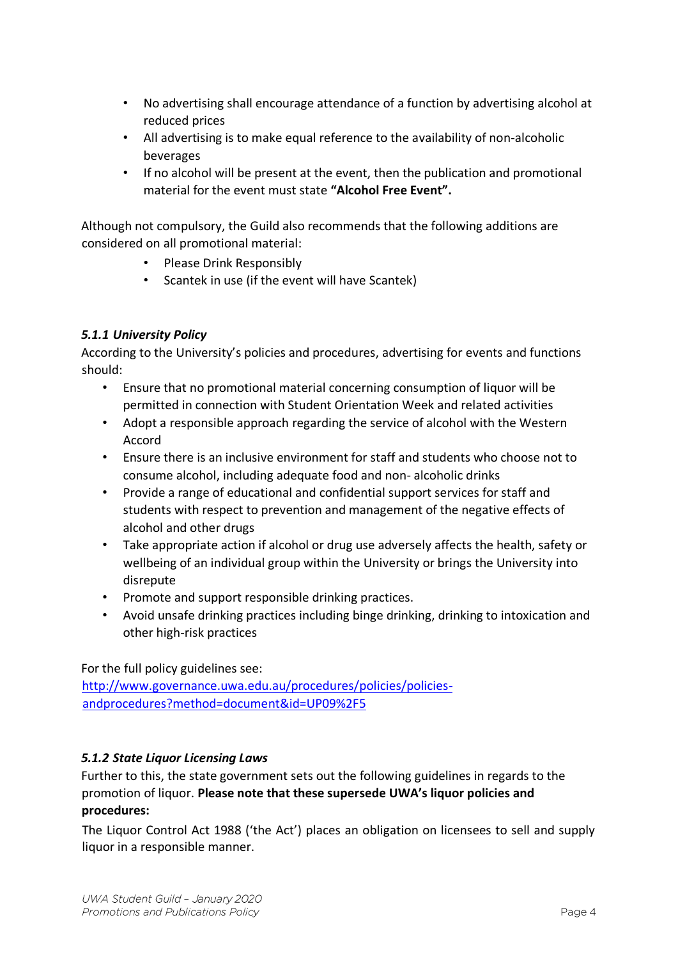- No advertising shall encourage attendance of a function by advertising alcohol at reduced prices
- All advertising is to make equal reference to the availability of non-alcoholic beverages
- If no alcohol will be present at the event, then the publication and promotional material for the event must state **"Alcohol Free Event".**

Although not compulsory, the Guild also recommends that the following additions are considered on all promotional material:

- Please Drink Responsibly
- Scantek in use (if the event will have Scantek)

### *5.1.1 University Policy*

According to the University's policies and procedures, advertising for events and functions should:

- Ensure that no promotional material concerning consumption of liquor will be permitted in connection with Student Orientation Week and related activities
- Adopt a responsible approach regarding the service of alcohol with the Western Accord
- Ensure there is an inclusive environment for staff and students who choose not to consume alcohol, including adequate food and non- alcoholic drinks
- Provide a range of educational and confidential support services for staff and students with respect to prevention and management of the negative effects of alcohol and other drugs
- Take appropriate action if alcohol or drug use adversely affects the health, safety or wellbeing of an individual group within the University or brings the University into disrepute
- Promote and support responsible drinking practices.
- Avoid unsafe drinking practices including binge drinking, drinking to intoxication and other high-risk practices

For the full policy guidelines see:

[http://www.governance.uwa.edu.au/procedures/policies/policies](http://www.governance.uwa.edu.au/procedures/policies/policies-and-procedures?method=document&id=UP09%2F5)[andprocedures?method=document&id=UP09%2F5](http://www.governance.uwa.edu.au/procedures/policies/policies-and-procedures?method=document&id=UP09%2F5)

#### *5.1.2 State Liquor Licensing Laws*

Further to this, the state government sets out the following guidelines in regards to the promotion of liquor. **Please note that these supersede UWA's liquor policies and procedures:** 

The Liquor Control Act 1988 ('the Act') places an obligation on licensees to sell and supply liquor in a responsible manner.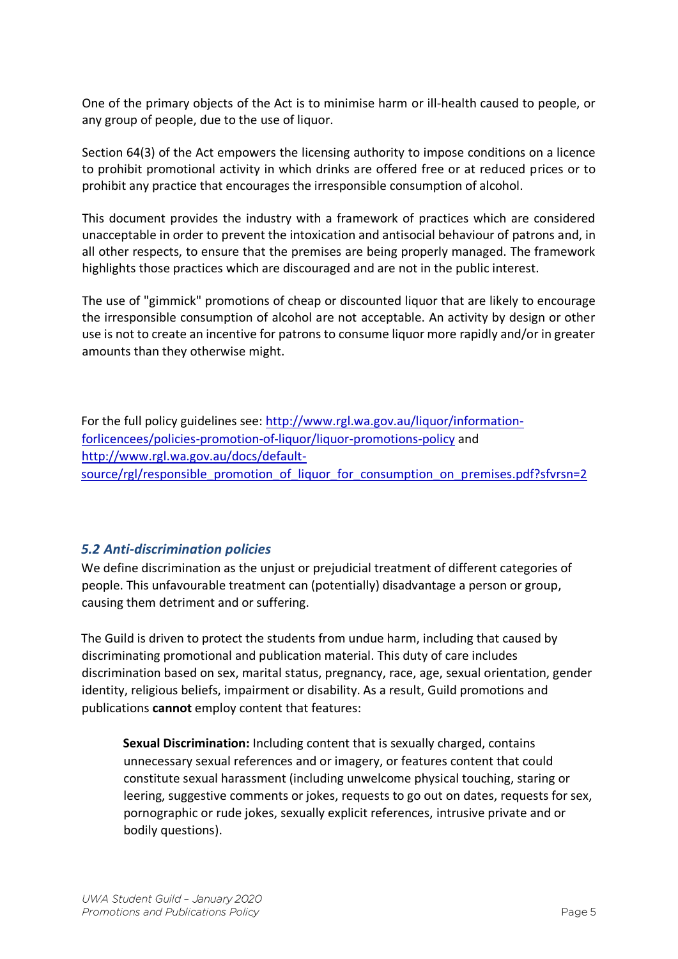One of the primary objects of the Act is to minimise harm or ill-health caused to people, or any group of people, due to the use of liquor.

Section 64(3) of the Act empowers the licensing authority to impose conditions on a licence to prohibit promotional activity in which drinks are offered free or at reduced prices or to prohibit any practice that encourages the irresponsible consumption of alcohol.

This document provides the industry with a framework of practices which are considered unacceptable in order to prevent the intoxication and antisocial behaviour of patrons and, in all other respects, to ensure that the premises are being properly managed. The framework highlights those practices which are discouraged and are not in the public interest.

The use of "gimmick" promotions of cheap or discounted liquor that are likely to encourage the irresponsible consumption of alcohol are not acceptable. An activity by design or other use is not to create an incentive for patrons to consume liquor more rapidly and/or in greater amounts than they otherwise might.

For the full policy guidelines see: [http://www.rgl.wa.gov.au/liquor/information](http://www.rgl.wa.gov.au/liquor/information-for-licencees/policies-promotion-of-liquor/liquor-promotions-policy)[forlicencees/policies-promotion-of-liquor/liquor-promotions-policy](http://www.rgl.wa.gov.au/liquor/information-for-licencees/policies-promotion-of-liquor/liquor-promotions-policy) and [http://www.rgl.wa.gov.au/docs/default](http://www.rgl.wa.gov.au/docs/default-source/rgl/responsible_promotion_of_liquor_for_consumption_on_premises.pdf?sfvrsn=2)[source/rgl/responsible\\_promotion\\_of\\_liquor\\_for\\_consumption\\_on\\_premises.pdf?sfvrsn=2](http://www.rgl.wa.gov.au/docs/default-source/rgl/responsible_promotion_of_liquor_for_consumption_on_premises.pdf?sfvrsn=2)

## *5.2 Anti-discrimination policies*

We define discrimination as the unjust or prejudicial treatment of different categories of people. This unfavourable treatment can (potentially) disadvantage a person or group, causing them detriment and or suffering.

The Guild is driven to protect the students from undue harm, including that caused by discriminating promotional and publication material. This duty of care includes discrimination based on sex, marital status, pregnancy, race, age, sexual orientation, gender identity, religious beliefs, impairment or disability. As a result, Guild promotions and publications **cannot** employ content that features:

**Sexual Discrimination:** Including content that is sexually charged, contains unnecessary sexual references and or imagery, or features content that could constitute sexual harassment (including unwelcome physical touching, staring or leering, suggestive comments or jokes, requests to go out on dates, requests for sex, pornographic or rude jokes, sexually explicit references, intrusive private and or bodily questions).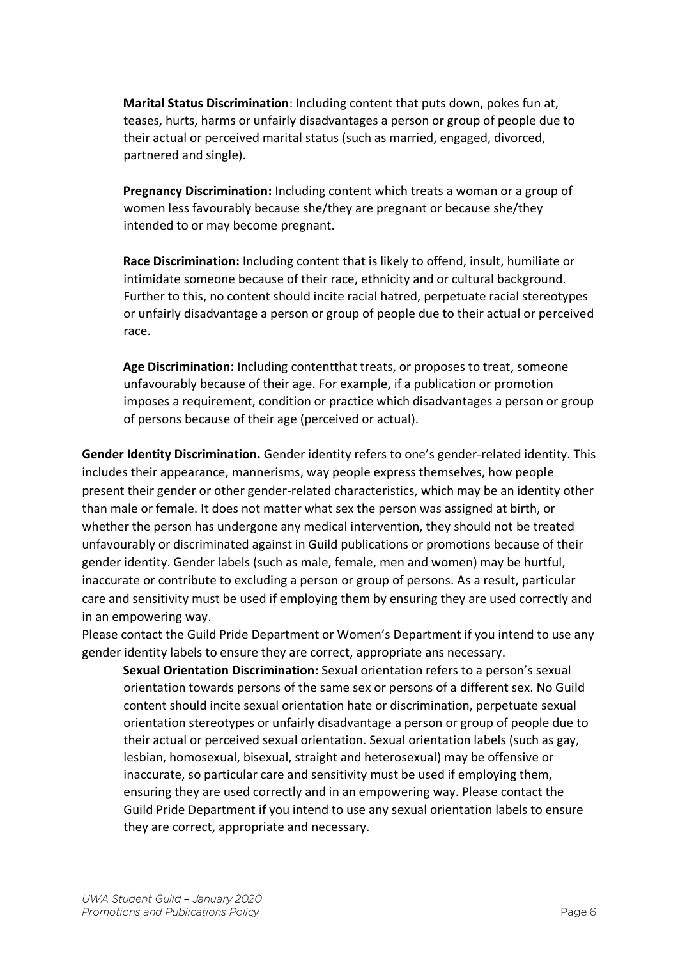**Marital Status Discrimination**: Including content that puts down, pokes fun at, teases, hurts, harms or unfairly disadvantages a person or group of people due to their actual or perceived marital status (such as married, engaged, divorced, partnered and single).

**Pregnancy Discrimination:** Including content which treats a woman or a group of women less favourably because she/they are pregnant or because she/they intended to or may become pregnant.

**Race Discrimination:** Including content that is likely to offend, insult, humiliate or intimidate someone because of their race, ethnicity and or cultural background. Further to this, no content should incite racial hatred, perpetuate racial stereotypes or unfairly disadvantage a person or group of people due to their actual or perceived race.

**Age Discrimination:** Including contentthat treats, or proposes to treat, someone unfavourably because of their age. For example, if a publication or promotion imposes a requirement, condition or practice which disadvantages a person or group of persons because of their age (perceived or actual).

**Gender Identity Discrimination.** Gender identity refers to one's gender-related identity. This includes their appearance, mannerisms, way people express themselves, how people present their gender or other gender-related characteristics, which may be an identity other than male or female. It does not matter what sex the person was assigned at birth, or whether the person has undergone any medical intervention, they should not be treated unfavourably or discriminated against in Guild publications or promotions because of their gender identity. Gender labels (such as male, female, men and women) may be hurtful, inaccurate or contribute to excluding a person or group of persons. As a result, particular care and sensitivity must be used if employing them by ensuring they are used correctly and in an empowering way.

Please contact the Guild Pride Department or Women's Department if you intend to use any gender identity labels to ensure they are correct, appropriate ans necessary.

**Sexual Orientation Discrimination:** Sexual orientation refers to a person's sexual orientation towards persons of the same sex or persons of a different sex. No Guild content should incite sexual orientation hate or discrimination, perpetuate sexual orientation stereotypes or unfairly disadvantage a person or group of people due to their actual or perceived sexual orientation. Sexual orientation labels (such as gay, lesbian, homosexual, bisexual, straight and heterosexual) may be offensive or inaccurate, so particular care and sensitivity must be used if employing them, ensuring they are used correctly and in an empowering way. Please contact the Guild Pride Department if you intend to use any sexual orientation labels to ensure they are correct, appropriate and necessary.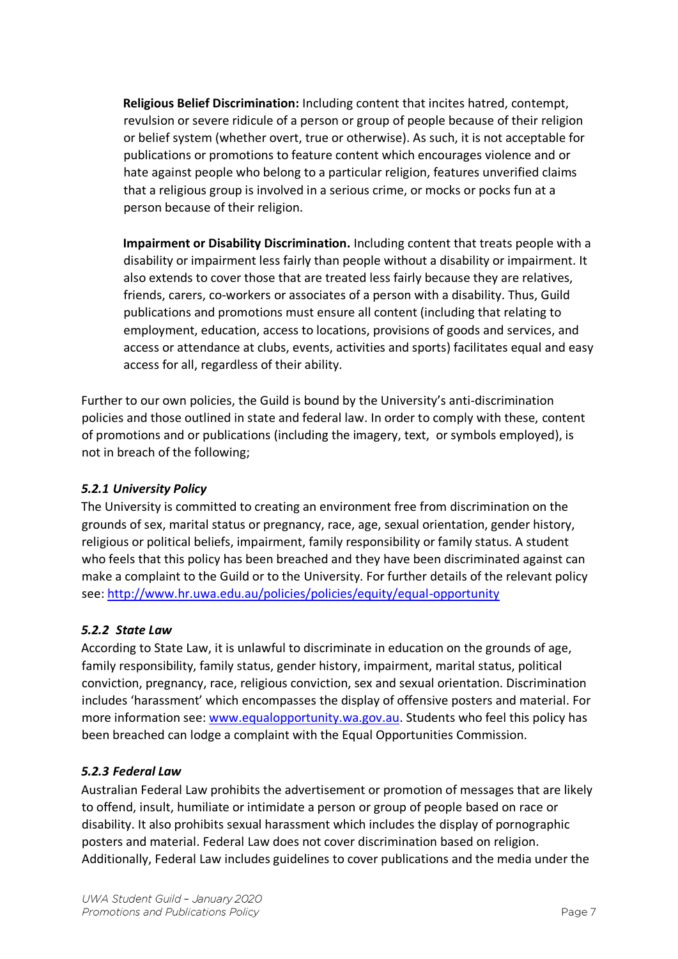**Religious Belief Discrimination:** Including content that incites hatred, contempt, revulsion or severe ridicule of a person or group of people because of their religion or belief system (whether overt, true or otherwise). As such, it is not acceptable for publications or promotions to feature content which encourages violence and or hate against people who belong to a particular religion, features unverified claims that a religious group is involved in a serious crime, or mocks or pocks fun at a person because of their religion.

**Impairment or Disability Discrimination.** Including content that treats people with a disability or impairment less fairly than people without a disability or impairment. It also extends to cover those that are treated less fairly because they are relatives, friends, carers, co-workers or associates of a person with a disability. Thus, Guild publications and promotions must ensure all content (including that relating to employment, education, access to locations, provisions of goods and services, and access or attendance at clubs, events, activities and sports) facilitates equal and easy access for all, regardless of their ability.

Further to our own policies, the Guild is bound by the University's anti-discrimination policies and those outlined in state and federal law. In order to comply with these, content of promotions and or publications (including the imagery, text, or symbols employed), is not in breach of the following;

## *5.2.1 University Policy*

The University is committed to creating an environment free from discrimination on the grounds of sex, marital status or pregnancy, race, age, sexual orientation, gender history, religious or political beliefs, impairment, family responsibility or family status. A student who feels that this policy has been breached and they have been discriminated against can make a complaint to the Guild or to the University. For further details of the relevant policy see:<http://www.hr.uwa.edu.au/policies/policies/equity/equal-opportunity>

#### *5.2.2 State Law*

According to State Law, it is unlawful to discriminate in education on the grounds of age, family responsibility, family status, gender history, impairment, marital status, political conviction, pregnancy, race, religious conviction, sex and sexual orientation. Discrimination includes 'harassment' which encompasses the display of offensive posters and material. For more information see: [www.equalopportunity.wa.gov.au.](http://www.equalopportunity.wa.gov.au/) Students who feel this policy has been breached can lodge a complaint with the Equal Opportunities Commission.

## *5.2.3 Federal Law*

Australian Federal Law prohibits the advertisement or promotion of messages that are likely to offend, insult, humiliate or intimidate a person or group of people based on race or disability. It also prohibits sexual harassment which includes the display of pornographic posters and material. Federal Law does not cover discrimination based on religion. Additionally, Federal Law includes guidelines to cover publications and the media under the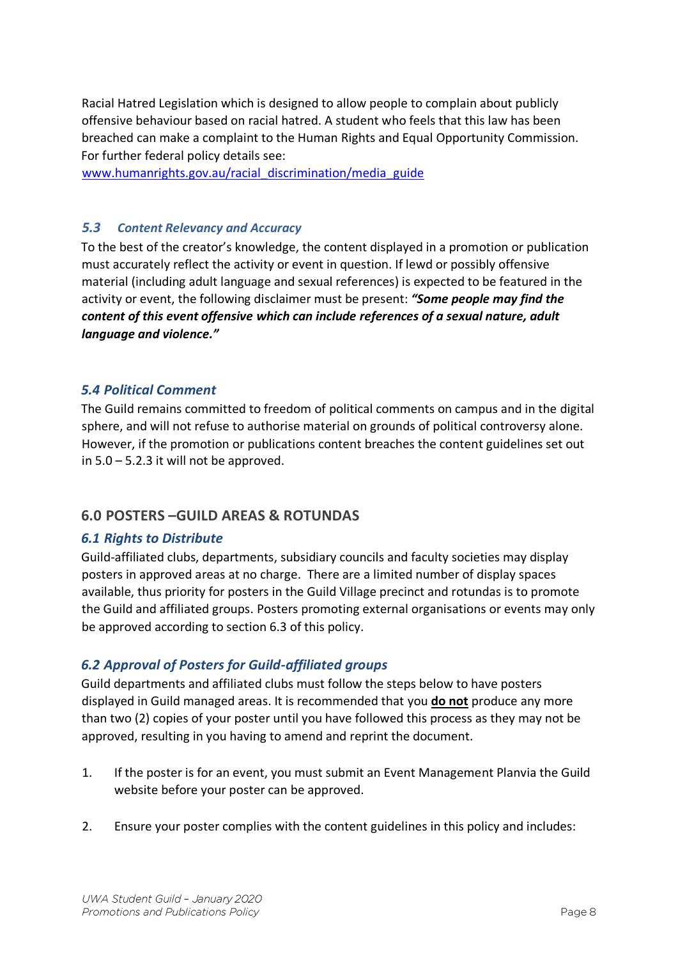Racial Hatred Legislation which is designed to allow people to complain about publicly offensive behaviour based on racial hatred. A student who feels that this law has been breached can make a complaint to the Human Rights and Equal Opportunity Commission. For further federal policy details see:

[www.humanrights.gov.au/racial\\_discrimination/media\\_guide](http://www.humanrights.gov.au/racial_discrimination/media_guide)

### *5.3 Content Relevancy and Accuracy*

To the best of the creator's knowledge, the content displayed in a promotion or publication must accurately reflect the activity or event in question. If lewd or possibly offensive material (including adult language and sexual references) is expected to be featured in the activity or event, the following disclaimer must be present: *"Some people may find the content of this event offensive which can include references of a sexual nature, adult language and violence."*

### *5.4 Political Comment*

The Guild remains committed to freedom of political comments on campus and in the digital sphere, and will not refuse to authorise material on grounds of political controversy alone. However, if the promotion or publications content breaches the content guidelines set out in 5.0 – 5.2.3 it will not be approved.

## **6.0 POSTERS –GUILD AREAS & ROTUNDAS**

#### *6.1 Rights to Distribute*

Guild-affiliated clubs, departments, subsidiary councils and faculty societies may display posters in approved areas at no charge. There are a limited number of display spaces available, thus priority for posters in the Guild Village precinct and rotundas is to promote the Guild and affiliated groups. Posters promoting external organisations or events may only be approved according to section 6.3 of this policy.

## *6.2 Approval of Posters for Guild-affiliated groups*

Guild departments and affiliated clubs must follow the steps below to have posters displayed in Guild managed areas. It is recommended that you **do not** produce any more than two (2) copies of your poster until you have followed this process as they may not be approved, resulting in you having to amend and reprint the document.

- 1. If the poster is for an event, you must submit an Event Management Planvia the Guild website before your poster can be approved.
- 2. Ensure your poster complies with the content guidelines in this policy and includes: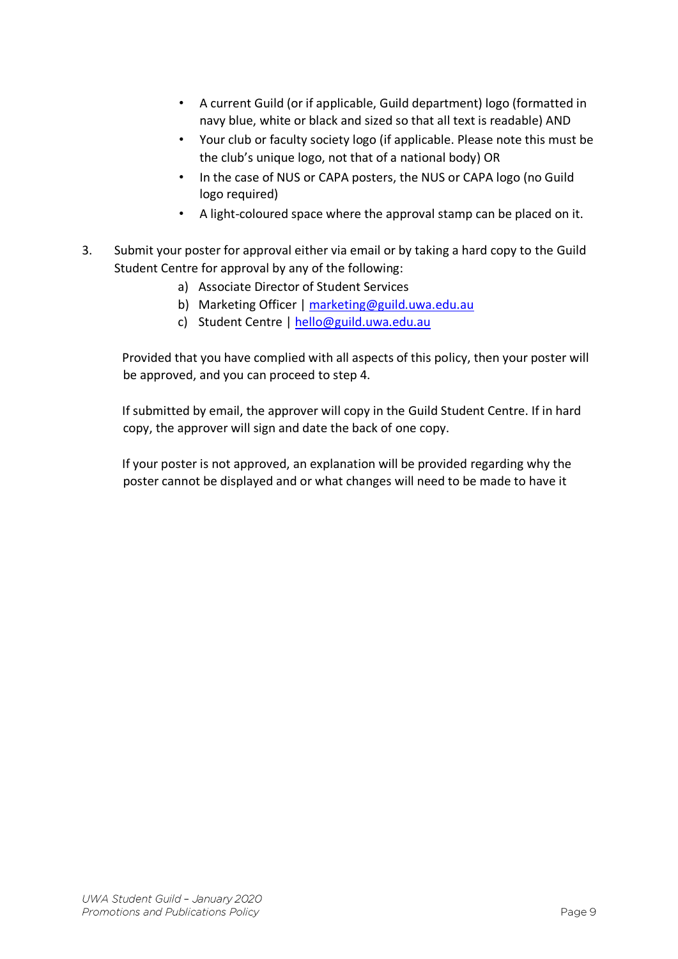- A current Guild (or if applicable, Guild department) logo (formatted in navy blue, white or black and sized so that all text is readable) AND
- Your club or faculty society logo (if applicable. Please note this must be the club's unique logo, not that of a national body) OR
- In the case of NUS or CAPA posters, the NUS or CAPA logo (no Guild logo required)
- A light-coloured space where the approval stamp can be placed on it.
- 3. Submit your poster for approval either via email or by taking a hard copy to the Guild Student Centre for approval by any of the following:
	- a) Associate Director of Student Services
	- b) Marketing Officer | marketing@guild.uwa.edu.au
	- c) Student Centre | hello@guild.uwa.edu.au

Provided that you have complied with all aspects of this policy, then your poster will be approved, and you can proceed to step 4.

If submitted by email, the approver will copy in the Guild Student Centre. If in hard copy, the approver will sign and date the back of one copy.

If your poster is not approved, an explanation will be provided regarding why the poster cannot be displayed and or what changes will need to be made to have it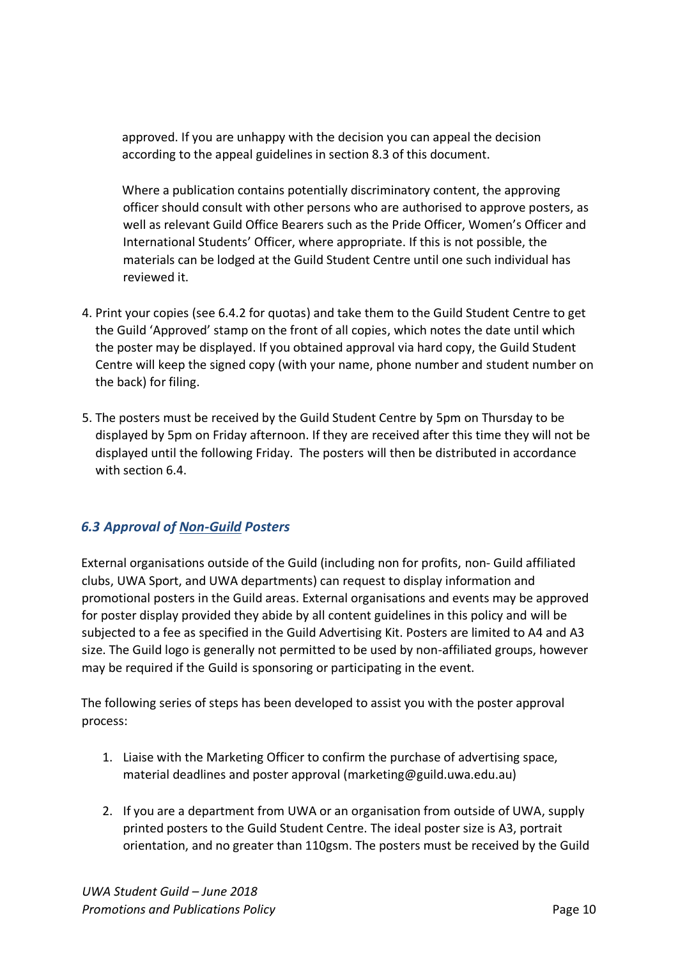approved. If you are unhappy with the decision you can appeal the decision according to the appeal guidelines in section 8.3 of this document.

Where a publication contains potentially discriminatory content, the approving officer should consult with other persons who are authorised to approve posters, as well as relevant Guild Office Bearers such as the Pride Officer, Women's Officer and International Students' Officer, where appropriate. If this is not possible, the materials can be lodged at the Guild Student Centre until one such individual has reviewed it.

- 4. Print your copies (see 6.4.2 for quotas) and take them to the Guild Student Centre to get the Guild 'Approved' stamp on the front of all copies, which notes the date until which the poster may be displayed. If you obtained approval via hard copy, the Guild Student Centre will keep the signed copy (with your name, phone number and student number on the back) for filing.
- 5. The posters must be received by the Guild Student Centre by 5pm on Thursday to be displayed by 5pm on Friday afternoon. If they are received after this time they will not be displayed until the following Friday. The posters will then be distributed in accordance with section 6.4.

## *6.3 Approval of Non-Guild Posters*

External organisations outside of the Guild (including non for profits, non- Guild affiliated clubs, UWA Sport, and UWA departments) can request to display information and promotional posters in the Guild areas. External organisations and events may be approved for poster display provided they abide by all content guidelines in this policy and will be subjected to a fee as specified in the Guild Advertising Kit. Posters are limited to A4 and A3 size. The Guild logo is generally not permitted to be used by non-affiliated groups, however may be required if the Guild is sponsoring or participating in the event.

The following series of steps has been developed to assist you with the poster approval process:

- 1. Liaise with the Marketing Officer to confirm the purchase of advertising space, material deadlines and poster approval (marketing@guild.uwa.edu.au)
- 2. If you are a department from UWA or an organisation from outside of UWA, supply printed posters to the Guild Student Centre. The ideal poster size is A3, portrait orientation, and no greater than 110gsm. The posters must be received by the Guild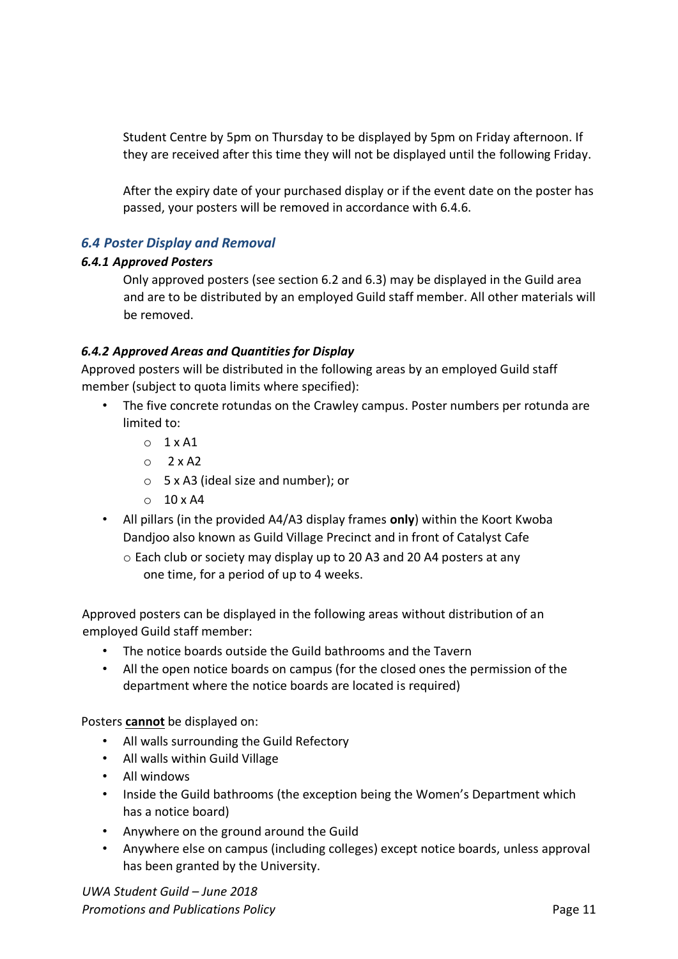Student Centre by 5pm on Thursday to be displayed by 5pm on Friday afternoon. If they are received after this time they will not be displayed until the following Friday.

After the expiry date of your purchased display or if the event date on the poster has passed, your posters will be removed in accordance with 6.4.6.

### *6.4 Poster Display and Removal*

#### *6.4.1 Approved Posters*

Only approved posters (see section 6.2 and 6.3) may be displayed in the Guild area and are to be distributed by an employed Guild staff member. All other materials will be removed.

#### *6.4.2 Approved Areas and Quantities for Display*

Approved posters will be distributed in the following areas by an employed Guild staff member (subject to quota limits where specified):

- The five concrete rotundas on the Crawley campus. Poster numbers per rotunda are limited to:
	- $O$  1 x A1
	- $O$  2 x A<sub>2</sub>
	- o 5 x A3 (ideal size and number); or
	- $\circ$  10 x A4
- All pillars (in the provided A4/A3 display frames **only**) within the Koort Kwoba Dandjoo also known as Guild Village Precinct and in front of Catalyst Cafe
	- o Each club or society may display up to 20 A3 and 20 A4 posters at any one time, for a period of up to 4 weeks.

Approved posters can be displayed in the following areas without distribution of an employed Guild staff member:

- The notice boards outside the Guild bathrooms and the Tavern
- All the open notice boards on campus (for the closed ones the permission of the department where the notice boards are located is required)

Posters **cannot** be displayed on:

- All walls surrounding the Guild Refectory
- All walls within Guild Village
- All windows
- Inside the Guild bathrooms (the exception being the Women's Department which has a notice board)
- Anywhere on the ground around the Guild
- Anywhere else on campus (including colleges) except notice boards, unless approval has been granted by the University.

*UWA Student Guild – June 2018*  **Promotions and Publications Policy** Promotions and Page 11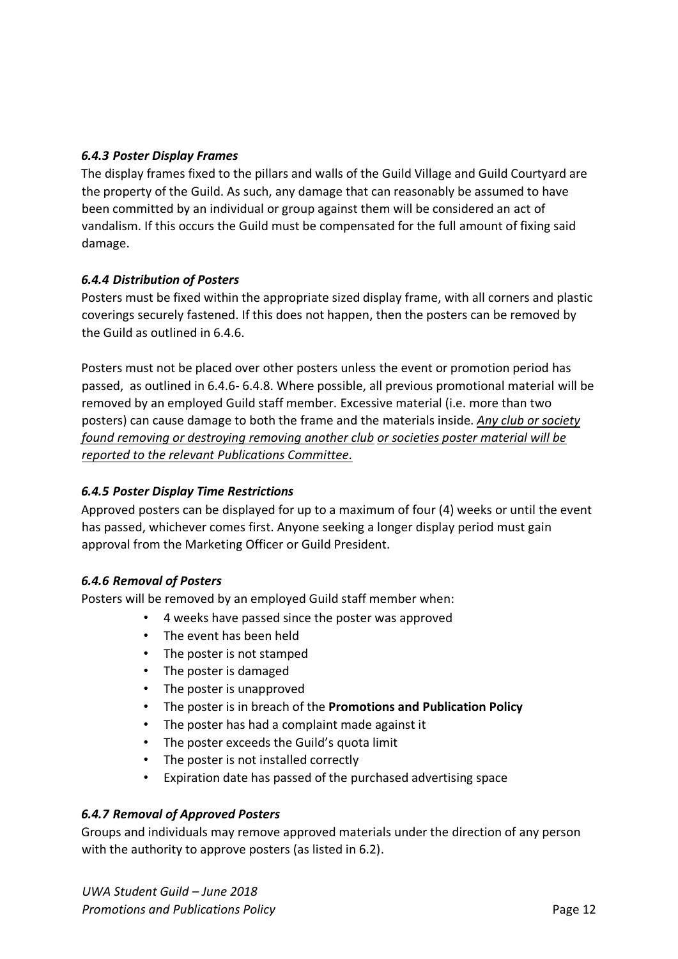### *6.4.3 Poster Display Frames*

The display frames fixed to the pillars and walls of the Guild Village and Guild Courtyard are the property of the Guild. As such, any damage that can reasonably be assumed to have been committed by an individual or group against them will be considered an act of vandalism. If this occurs the Guild must be compensated for the full amount of fixing said damage.

#### *6.4.4 Distribution of Posters*

Posters must be fixed within the appropriate sized display frame, with all corners and plastic coverings securely fastened. If this does not happen, then the posters can be removed by the Guild as outlined in 6.4.6.

Posters must not be placed over other posters unless the event or promotion period has passed, as outlined in 6.4.6- 6.4.8. Where possible, all previous promotional material will be removed by an employed Guild staff member. Excessive material (i.e. more than two posters) can cause damage to both the frame and the materials inside. *Any club or society found removing or destroying removing another club or societies poster material will be reported to the relevant Publications Committee.*

## *6.4.5 Poster Display Time Restrictions*

Approved posters can be displayed for up to a maximum of four (4) weeks or until the event has passed, whichever comes first. Anyone seeking a longer display period must gain approval from the Marketing Officer or Guild President.

#### *6.4.6 Removal of Posters*

Posters will be removed by an employed Guild staff member when:

- 4 weeks have passed since the poster was approved
- The event has been held
- The poster is not stamped
- The poster is damaged
- The poster is unapproved
- The poster is in breach of the **Promotions and Publication Policy**
- The poster has had a complaint made against it
- The poster exceeds the Guild's quota limit
- The poster is not installed correctly
- Expiration date has passed of the purchased advertising space

#### *6.4.7 Removal of Approved Posters*

Groups and individuals may remove approved materials under the direction of any person with the authority to approve posters (as listed in 6.2).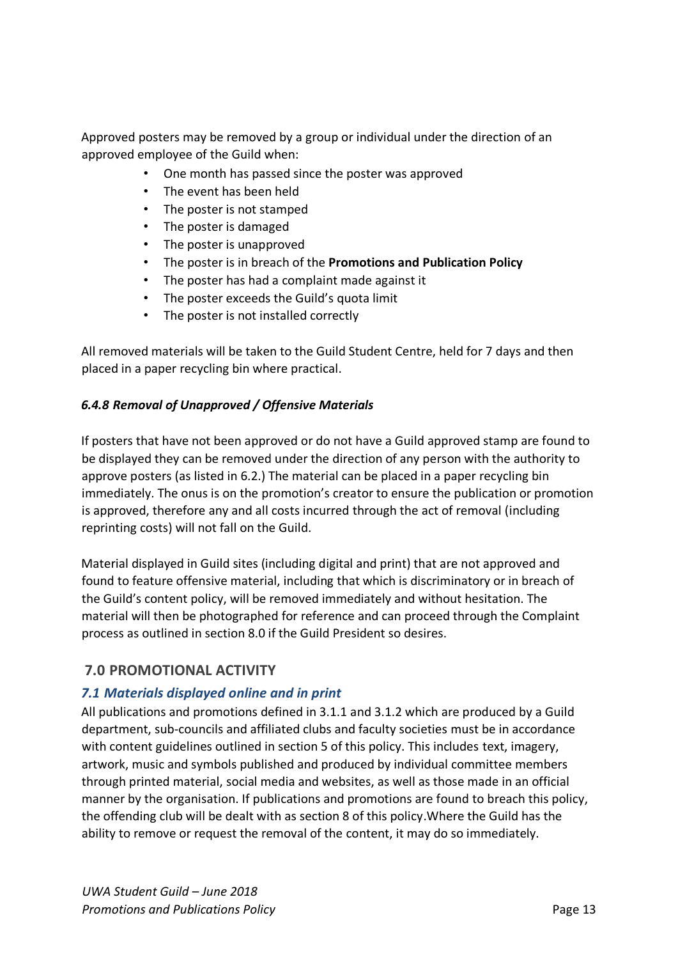Approved posters may be removed by a group or individual under the direction of an approved employee of the Guild when:

- One month has passed since the poster was approved
- The event has been held
- The poster is not stamped
- The poster is damaged
- The poster is unapproved
- The poster is in breach of the **Promotions and Publication Policy**
- The poster has had a complaint made against it
- The poster exceeds the Guild's quota limit
- The poster is not installed correctly

All removed materials will be taken to the Guild Student Centre, held for 7 days and then placed in a paper recycling bin where practical.

#### *6.4.8 Removal of Unapproved / Offensive Materials*

If posters that have not been approved or do not have a Guild approved stamp are found to be displayed they can be removed under the direction of any person with the authority to approve posters (as listed in 6.2.) The material can be placed in a paper recycling bin immediately. The onus is on the promotion's creator to ensure the publication or promotion is approved, therefore any and all costs incurred through the act of removal (including reprinting costs) will not fall on the Guild.

Material displayed in Guild sites (including digital and print) that are not approved and found to feature offensive material, including that which is discriminatory or in breach of the Guild's content policy, will be removed immediately and without hesitation. The material will then be photographed for reference and can proceed through the Complaint process as outlined in section 8.0 if the Guild President so desires.

## **7.0 PROMOTIONAL ACTIVITY**

## *7.1 Materials displayed online and in print*

All publications and promotions defined in 3.1.1 and 3.1.2 which are produced by a Guild department, sub-councils and affiliated clubs and faculty societies must be in accordance with content guidelines outlined in section 5 of this policy. This includes text, imagery, artwork, music and symbols published and produced by individual committee members through printed material, social media and websites, as well as those made in an official manner by the organisation. If publications and promotions are found to breach this policy, the offending club will be dealt with as section 8 of this policy.Where the Guild has the ability to remove or request the removal of the content, it may do so immediately.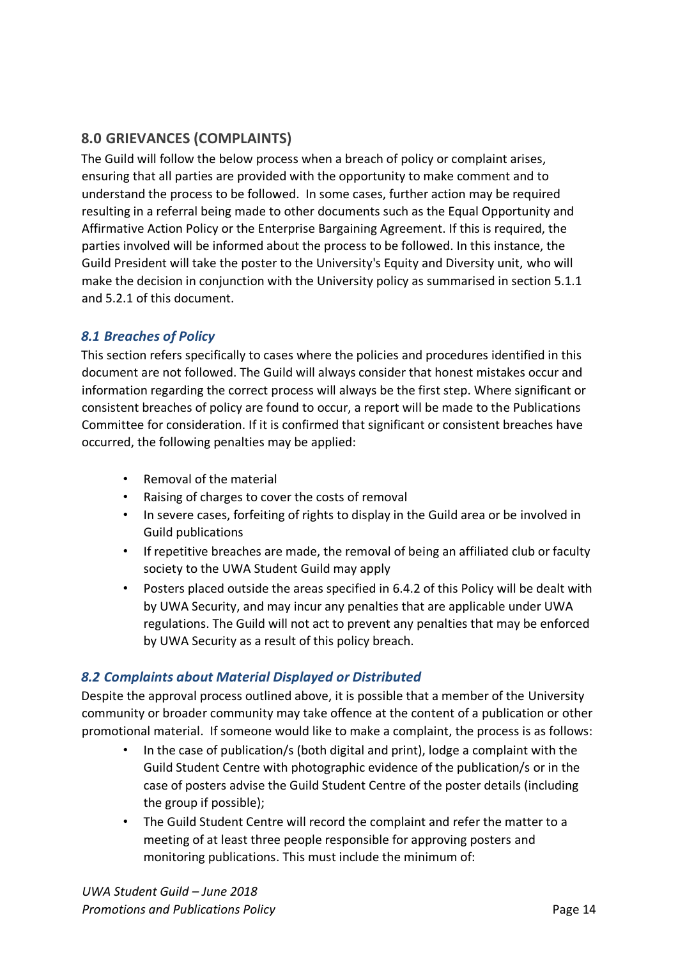## **8.0 GRIEVANCES (COMPLAINTS)**

The Guild will follow the below process when a breach of policy or complaint arises, ensuring that all parties are provided with the opportunity to make comment and to understand the process to be followed. In some cases, further action may be required resulting in a referral being made to other documents such as the Equal Opportunity and Affirmative Action Policy or the Enterprise Bargaining Agreement. If this is required, the parties involved will be informed about the process to be followed. In this instance, the Guild President will take the poster to the University's Equity and Diversity unit, who will make the decision in conjunction with the University policy as summarised in section 5.1.1 and 5.2.1 of this document.

## *8.1 Breaches of Policy*

This section refers specifically to cases where the policies and procedures identified in this document are not followed. The Guild will always consider that honest mistakes occur and information regarding the correct process will always be the first step. Where significant or consistent breaches of policy are found to occur, a report will be made to the Publications Committee for consideration. If it is confirmed that significant or consistent breaches have occurred, the following penalties may be applied:

- Removal of the material
- Raising of charges to cover the costs of removal
- In severe cases, forfeiting of rights to display in the Guild area or be involved in Guild publications
- If repetitive breaches are made, the removal of being an affiliated club or faculty society to the UWA Student Guild may apply
- Posters placed outside the areas specified in 6.4.2 of this Policy will be dealt with by UWA Security, and may incur any penalties that are applicable under UWA regulations. The Guild will not act to prevent any penalties that may be enforced by UWA Security as a result of this policy breach.

## *8.2 Complaints about Material Displayed or Distributed*

Despite the approval process outlined above, it is possible that a member of the University community or broader community may take offence at the content of a publication or other promotional material. If someone would like to make a complaint, the process is as follows:

- In the case of publication/s (both digital and print), lodge a complaint with the Guild Student Centre with photographic evidence of the publication/s or in the case of posters advise the Guild Student Centre of the poster details (including the group if possible);
- The Guild Student Centre will record the complaint and refer the matter to a meeting of at least three people responsible for approving posters and monitoring publications. This must include the minimum of: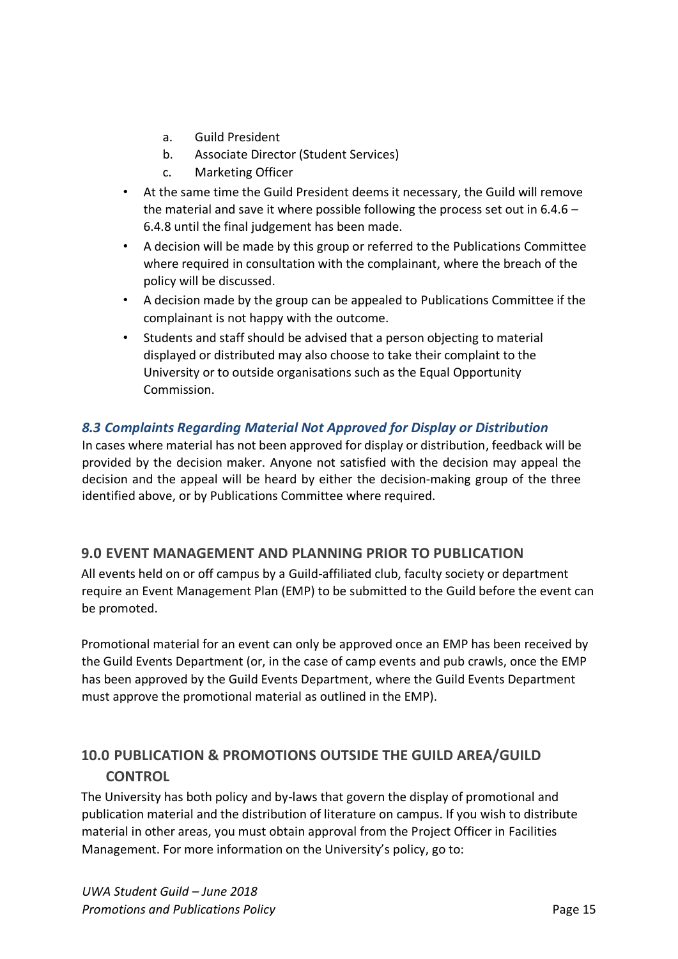- a. Guild President
- b. Associate Director (Student Services)
- c. Marketing Officer
- At the same time the Guild President deems it necessary, the Guild will remove the material and save it where possible following the process set out in 6.4.6 – 6.4.8 until the final judgement has been made.
- A decision will be made by this group or referred to the Publications Committee where required in consultation with the complainant, where the breach of the policy will be discussed.
- A decision made by the group can be appealed to Publications Committee if the complainant is not happy with the outcome.
- Students and staff should be advised that a person objecting to material displayed or distributed may also choose to take their complaint to the University or to outside organisations such as the Equal Opportunity Commission.

## *8.3 Complaints Regarding Material Not Approved for Display or Distribution*

In cases where material has not been approved for display or distribution, feedback will be provided by the decision maker. Anyone not satisfied with the decision may appeal the decision and the appeal will be heard by either the decision-making group of the three identified above, or by Publications Committee where required.

## **9.0 EVENT MANAGEMENT AND PLANNING PRIOR TO PUBLICATION**

All events held on or off campus by a Guild-affiliated club, faculty society or department require an Event Management Plan (EMP) to be submitted to the Guild before the event can be promoted.

Promotional material for an event can only be approved once an EMP has been received by the Guild Events Department (or, in the case of camp events and pub crawls, once the EMP has been approved by the Guild Events Department, where the Guild Events Department must approve the promotional material as outlined in the EMP).

# **10.0 PUBLICATION & PROMOTIONS OUTSIDE THE GUILD AREA/GUILD CONTROL**

The University has both policy and by-laws that govern the display of promotional and publication material and the distribution of literature on campus. If you wish to distribute material in other areas, you must obtain approval from the Project Officer in Facilities Management. For more information on the University's policy, go to: